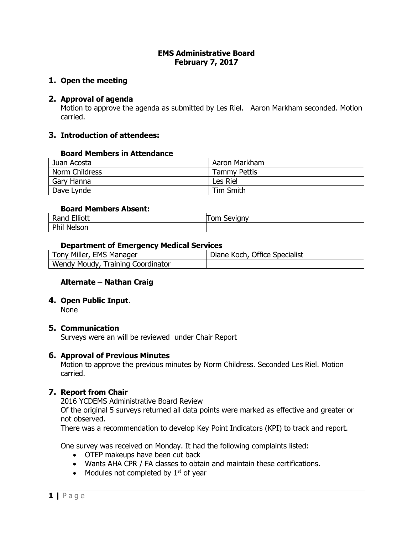#### **EMS Administrative Board February 7, 2017**

### **1. Open the meeting**

### **2. Approval of agenda**

Motion to approve the agenda as submitted by Les Riel. Aaron Markham seconded. Motion carried.

### **3. Introduction of attendees:**

#### **Board Members in Attendance**

| Juan Acosta    | Aaron Markham       |
|----------------|---------------------|
| Norm Childress | <b>Tammy Pettis</b> |
| Gary Hanna     | Les Riel            |
| Dave Lynde     | Tim Smith           |

### **Board Members Absent:**

| ---                   | `≅vignv i |
|-----------------------|-----------|
| <b>Elliott</b>        | om        |
| Rand                  | 7AVIC     |
| Phil<br><b>Nelsor</b> |           |

#### **Department of Emergency Medical Services**

| Tony Miller, EMS Manager          | Diane Koch, Office Specialist |
|-----------------------------------|-------------------------------|
| Wendy Moudy, Training Coordinator |                               |

### **Alternate – Nathan Craig**

### **4. Open Public Input**.

None

### **5. Communication**

Surveys were an will be reviewed under Chair Report

### **6. Approval of Previous Minutes**

Motion to approve the previous minutes by Norm Childress. Seconded Les Riel. Motion carried.

### **7. Report from Chair**

2016 YCDEMS Administrative Board Review

Of the original 5 surveys returned all data points were marked as effective and greater or not observed.

There was a recommendation to develop Key Point Indicators (KPI) to track and report.

One survey was received on Monday. It had the following complaints listed:

- OTEP makeups have been cut back
- Wants AHA CPR / FA classes to obtain and maintain these certifications.
- Modules not completed by  $1<sup>st</sup>$  of year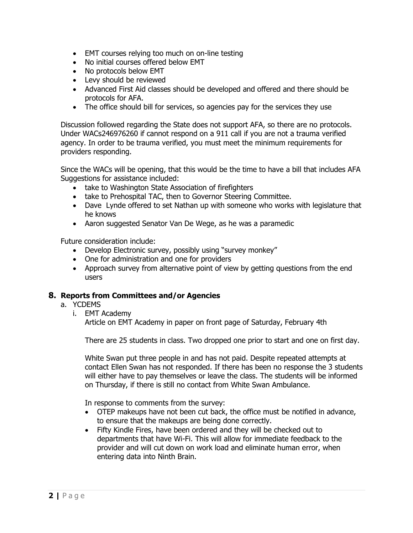- EMT courses relying too much on on-line testing
- No initial courses offered below EMT
- No protocols below EMT
- Levy should be reviewed
- Advanced First Aid classes should be developed and offered and there should be protocols for AFA.
- The office should bill for services, so agencies pay for the services they use

Discussion followed regarding the State does not support AFA, so there are no protocols. Under WACs246976260 if cannot respond on a 911 call if you are not a trauma verified agency. In order to be trauma verified, you must meet the minimum requirements for providers responding.

Since the WACs will be opening, that this would be the time to have a bill that includes AFA Suggestions for assistance included:

- take to Washington State Association of firefighters
- take to Prehospital TAC, then to Governor Steering Committee.
- Dave Lynde offered to set Nathan up with someone who works with legislature that he knows
- Aaron suggested Senator Van De Wege, as he was a paramedic

Future consideration include:

- Develop Electronic survey, possibly using "survey monkey"
- One for administration and one for providers
- Approach survey from alternative point of view by getting questions from the end users

### **8. Reports from Committees and/or Agencies**

- a. YCDEMS
	- i. EMT Academy

Article on EMT Academy in paper on front page of Saturday, February 4th

There are 25 students in class. Two dropped one prior to start and one on first day.

White Swan put three people in and has not paid. Despite repeated attempts at contact Ellen Swan has not responded. If there has been no response the 3 students will either have to pay themselves or leave the class. The students will be informed on Thursday, if there is still no contact from White Swan Ambulance.

In response to comments from the survey:

- OTEP makeups have not been cut back, the office must be notified in advance, to ensure that the makeups are being done correctly.
- Fifty Kindle Fires, have been ordered and they will be checked out to departments that have Wi-Fi. This will allow for immediate feedback to the provider and will cut down on work load and eliminate human error, when entering data into Ninth Brain.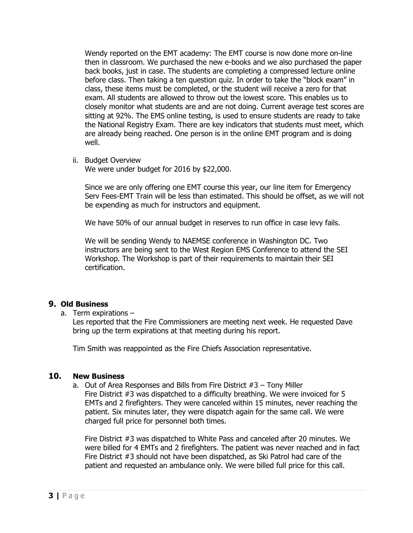Wendy reported on the EMT academy: The EMT course is now done more on-line then in classroom. We purchased the new e-books and we also purchased the paper back books, just in case. The students are completing a compressed lecture online before class. Then taking a ten question quiz. In order to take the "block exam" in class, these items must be completed, or the student will receive a zero for that exam. All students are allowed to throw out the lowest score. This enables us to closely monitor what students are and are not doing. Current average test scores are sitting at 92%. The EMS online testing, is used to ensure students are ready to take the National Registry Exam. There are key indicators that students must meet, which are already being reached. One person is in the online EMT program and is doing well.

ii. Budget Overview

We were under budget for 2016 by \$22,000.

Since we are only offering one EMT course this year, our line item for Emergency Serv Fees-EMT Train will be less than estimated. This should be offset, as we will not be expending as much for instructors and equipment.

We have 50% of our annual budget in reserves to run office in case levy fails.

We will be sending Wendy to NAEMSE conference in Washington DC. Two instructors are being sent to the West Region EMS Conference to attend the SEI Workshop. The Workshop is part of their requirements to maintain their SEI certification.

## **9. Old Business**

a. Term expirations –

Les reported that the Fire Commissioners are meeting next week. He requested Dave bring up the term expirations at that meeting during his report.

Tim Smith was reappointed as the Fire Chiefs Association representative.

## **10. New Business**

a. Out of Area Responses and Bills from Fire District #3 – Tony Miller Fire District #3 was dispatched to a difficulty breathing. We were invoiced for 5 EMTs and 2 firefighters. They were canceled within 15 minutes, never reaching the patient. Six minutes later, they were dispatch again for the same call. We were charged full price for personnel both times.

Fire District #3 was dispatched to White Pass and canceled after 20 minutes. We were billed for 4 EMTs and 2 firefighters. The patient was never reached and in fact Fire District #3 should not have been dispatched, as Ski Patrol had care of the patient and requested an ambulance only. We were billed full price for this call.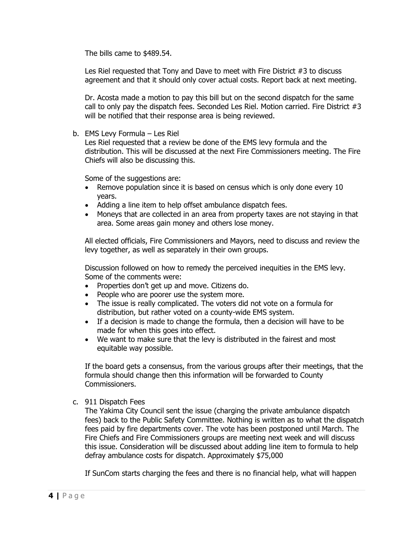The bills came to \$489.54.

Les Riel requested that Tony and Dave to meet with Fire District #3 to discuss agreement and that it should only cover actual costs. Report back at next meeting.

Dr. Acosta made a motion to pay this bill but on the second dispatch for the same call to only pay the dispatch fees. Seconded Les Riel. Motion carried. Fire District #3 will be notified that their response area is being reviewed.

b. EMS Levy Formula – Les Riel

Les Riel requested that a review be done of the EMS levy formula and the distribution. This will be discussed at the next Fire Commissioners meeting. The Fire Chiefs will also be discussing this.

Some of the suggestions are:

- Remove population since it is based on census which is only done every 10 years.
- Adding a line item to help offset ambulance dispatch fees.
- Moneys that are collected in an area from property taxes are not staying in that area. Some areas gain money and others lose money.

All elected officials, Fire Commissioners and Mayors, need to discuss and review the levy together, as well as separately in their own groups.

Discussion followed on how to remedy the perceived inequities in the EMS levy. Some of the comments were:

- Properties don't get up and move. Citizens do.
- People who are poorer use the system more.
- The issue is really complicated. The voters did not vote on a formula for distribution, but rather voted on a county-wide EMS system.
- If a decision is made to change the formula, then a decision will have to be made for when this goes into effect.
- We want to make sure that the levy is distributed in the fairest and most equitable way possible.

If the board gets a consensus, from the various groups after their meetings, that the formula should change then this information will be forwarded to County Commissioners.

c. 911 Dispatch Fees

The Yakima City Council sent the issue (charging the private ambulance dispatch fees) back to the Public Safety Committee. Nothing is written as to what the dispatch fees paid by fire departments cover. The vote has been postponed until March. The Fire Chiefs and Fire Commissioners groups are meeting next week and will discuss this issue. Consideration will be discussed about adding line item to formula to help defray ambulance costs for dispatch. Approximately \$75,000

If SunCom starts charging the fees and there is no financial help, what will happen